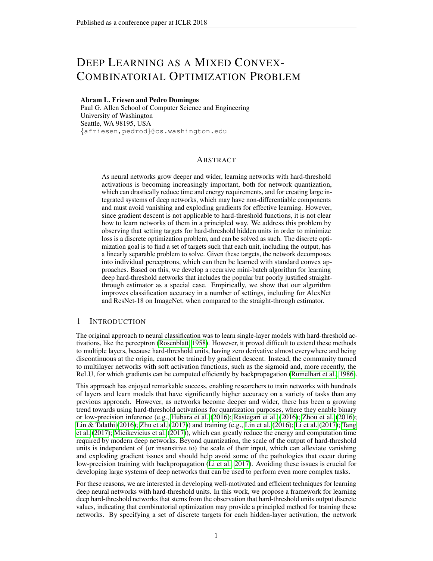# DEEP LEARNING AS A MIXED CONVEX-COMBINATORIAL OPTIMIZATION PROBLEM

### Abram L. Friesen and Pedro Domingos

Paul G. Allen School of Computer Science and Engineering University of Washington Seattle, WA 98195, USA {afriesen,pedrod}@cs.washington.edu

# ABSTRACT

As neural networks grow deeper and wider, learning networks with hard-threshold activations is becoming increasingly important, both for network quantization, which can drastically reduce time and energy requirements, and for creating large integrated systems of deep networks, which may have non-differentiable components and must avoid vanishing and exploding gradients for effective learning. However, since gradient descent is not applicable to hard-threshold functions, it is not clear how to learn networks of them in a principled way. We address this problem by observing that setting targets for hard-threshold hidden units in order to minimize loss is a discrete optimization problem, and can be solved as such. The discrete optimization goal is to find a set of targets such that each unit, including the output, has a linearly separable problem to solve. Given these targets, the network decomposes into individual perceptrons, which can then be learned with standard convex approaches. Based on this, we develop a recursive mini-batch algorithm for learning deep hard-threshold networks that includes the popular but poorly justified straightthrough estimator as a special case. Empirically, we show that our algorithm improves classification accuracy in a number of settings, including for AlexNet and ResNet-18 on ImageNet, when compared to the straight-through estimator.

# 1 INTRODUCTION

The original approach to neural classification was to learn single-layer models with hard-threshold activations, like the perceptron [\(Rosenblatt, 1958\)](#page-10-0). However, it proved difficult to extend these methods to multiple layers, because hard-threshold units, having zero derivative almost everywhere and being discontinuous at the origin, cannot be trained by gradient descent. Instead, the community turned to multilayer networks with soft activation functions, such as the sigmoid and, more recently, the ReLU, for which gradients can be computed efficiently by backpropagation [\(Rumelhart et al., 1986\)](#page-10-1).

This approach has enjoyed remarkable success, enabling researchers to train networks with hundreds of layers and learn models that have significantly higher accuracy on a variety of tasks than any previous approach. However, as networks become deeper and wider, there has been a growing trend towards using hard-threshold activations for quantization purposes, where they enable binary or low-precision inference (e.g., [Hubara et al.](#page-9-0) [\(2016\)](#page-9-0); [Rastegari et al.](#page-10-2) [\(2016\)](#page-10-2); [Zhou et al.](#page-10-3) [\(2016\)](#page-10-3); [Lin & Talathi](#page-10-4) [\(2016\)](#page-10-4); [Zhu et al.](#page-10-5) [\(2017\)](#page-10-5)) and training (e.g., [Lin et al.](#page-10-6) [\(2016\)](#page-10-6); [Li et al.](#page-10-7) [\(2017\)](#page-10-7); [Tang](#page-10-8) [et al.](#page-10-8) [\(2017\)](#page-10-8); [Micikevicius et al.](#page-10-9) [\(2017\)](#page-10-9)), which can greatly reduce the energy and computation time required by modern deep networks. Beyond quantization, the scale of the output of hard-threshold units is independent of (or insensitive to) the scale of their input, which can alleviate vanishing and exploding gradient issues and should help avoid some of the pathologies that occur during low-precision training with backpropagation [\(Li et al., 2017\)](#page-10-7). Avoiding these issues is crucial for developing large systems of deep networks that can be used to perform even more complex tasks.

For these reasons, we are interested in developing well-motivated and efficient techniques for learning deep neural networks with hard-threshold units. In this work, we propose a framework for learning deep hard-threshold networks that stems from the observation that hard-threshold units output discrete values, indicating that combinatorial optimization may provide a principled method for training these networks. By specifying a set of discrete targets for each hidden-layer activation, the network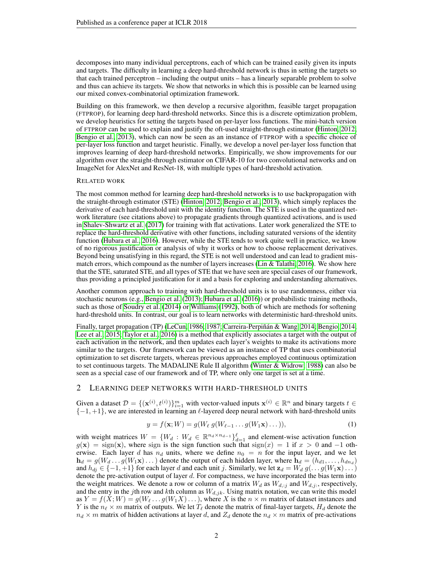decomposes into many individual perceptrons, each of which can be trained easily given its inputs and targets. The difficulty in learning a deep hard-threshold network is thus in setting the targets so that each trained perceptron – including the output units – has a linearly separable problem to solve and thus can achieve its targets. We show that networks in which this is possible can be learned using our mixed convex-combinatorial optimization framework.

Building on this framework, we then develop a recursive algorithm, feasible target propagation (FTPROP), for learning deep hard-threshold networks. Since this is a discrete optimization problem, we develop heuristics for setting the targets based on per-layer loss functions. The mini-batch version of FTPROP can be used to explain and justify the oft-used straight-through estimator [\(Hinton, 2012;](#page-9-1) [Bengio et al., 2013\)](#page-9-2), which can now be seen as an instance of FTPROP with a specific choice of per-layer loss function and target heuristic. Finally, we develop a novel per-layer loss function that improves learning of deep hard-threshold networks. Empirically, we show improvements for our algorithm over the straight-through estimator on CIFAR-10 for two convolutional networks and on ImageNet for AlexNet and ResNet-18, with multiple types of hard-threshold activation.

#### RELATED WORK

The most common method for learning deep hard-threshold networks is to use backpropagation with the straight-through estimator (STE) [\(Hinton, 2012;](#page-9-1) [Bengio et al., 2013\)](#page-9-2), which simply replaces the derivative of each hard-threshold unit with the identity function. The STE is used in the quantized network literature (see citations above) to propagate gradients through quantized activations, and is used in [Shalev-Shwartz et al.](#page-10-10) [\(2017\)](#page-10-10) for training with flat activations. Later work generalized the STE to replace the hard-threshold derivative with other functions, including saturated versions of the identity function [\(Hubara et al., 2016\)](#page-9-0). However, while the STE tends to work quite well in practice, we know of no rigorous justification or analysis of why it works or how to choose replacement derivatives. Beyond being unsatisfying in this regard, the STE is not well understood and can lead to gradient mis-match errors, which compound as the number of layers increases [\(Lin & Talathi, 2016\)](#page-10-4). We show here that the STE, saturated STE, and all types of STE that we have seen are special cases of our framework, thus providing a principled justification for it and a basis for exploring and understanding alternatives.

Another common approach to training with hard-threshold units is to use randomness, either via stochastic neurons (e.g., [Bengio et al.](#page-9-2) [\(2013\)](#page-9-2); [Hubara et al.](#page-9-0) [\(2016\)](#page-9-0)) or probabilistic training methods, such as those of [Soudry et al.](#page-10-11) [\(2014\)](#page-10-11) or [Williams](#page-10-12) [\(1992\)](#page-10-12), both of which are methods for softening hard-threshold units. In contrast, our goal is to learn networks with deterministic hard-threshold units.

Finally, target propagation (TP) [\(LeCun, 1986;](#page-9-3) [1987;](#page-9-4) Carreira-Perpiñán & Wang, 2014; [Bengio, 2014;](#page-9-6) [Lee et al., 2015;](#page-9-7) [Taylor et al., 2016\)](#page-10-13) is a method that explicitly associates a target with the output of each activation in the network, and then updates each layer's weights to make its activations more similar to the targets. Our framework can be viewed as an instance of TP that uses combinatorial optimization to set discrete targets, whereas previous approaches employed continuous optimization to set continuous targets. The MADALINE Rule II algorithm [\(Winter & Widrow, 1988\)](#page-10-14) can also be seen as a special case of our framework and of TP, where only one target is set at a time.

#### 2 LEARNING DEEP NETWORKS WITH HARD-THRESHOLD UNITS

Given a dataset  $\mathcal{D} = \{ (\mathbf{x}^{(i)}, t^{(i)}) \}_{i=1}^m$  with vector-valued inputs  $\mathbf{x}^{(i)} \in \mathbb{R}^n$  and binary targets  $t \in$  $\{-1,+1\}$ , we are interested in learning an  $\ell$ -layered deep neural network with hard-threshold units

$$
y = f(\mathbf{x}; W) = g(W_{\ell} g(W_{\ell-1} \dots g(W_1 \mathbf{x}) \dots)),
$$
\n(1)

with weight matrices  $W = \{W_d : W_d \in \mathbb{R}^{n_d \times n_{d-1}}\}_{d=1}^{\ell}$  and element-wise activation function  $g(x)$  = sign(x), where sign is the sign function such that  $sign(x) = 1$  if  $x > 0$  and -1 otherwise. Each layer d has  $n_d$  units, where we define  $n_0 = n$  for the input layer, and we let  $h_d = g(W_d \dots g(W_1 \mathbf{x}) \dots)$  denote the output of each hidden layer, where  $h_d = (h_{d1}, \dots, h_{dn_d})$ and  $h_{di} \in \{-1, +1\}$  for each layer d and each unit j. Similarly, we let  $z_d = W_d g(\dots g(W_1 x) \dots)$ denote the pre-activation output of layer d. For compactness, we have incorporated the bias term into the weight matrices. We denote a row or column of a matrix  $W_d$  as  $W_{d,j}$  and  $W_{d,j}$ , respectively, and the entry in the jth row and kth column as  $W_{d,j,k}$ . Using matrix notation, we can write this model as  $Y = f(X; W) = g(W_\ell \dots g(W_1 X) \dots)$ , where X is the  $n \times m$  matrix of dataset instances and Y is the  $n_\ell \times m$  matrix of outputs. We let  $T_\ell$  denote the matrix of final-layer targets,  $H_d$  denote the  $n_d \times m$  matrix of hidden activations at layer d, and  $Z_d$  denote the  $n_d \times m$  matrix of pre-activations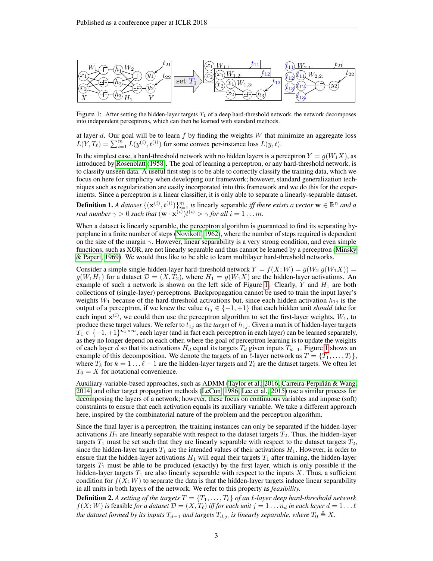<span id="page-2-0"></span>

Figure 1: After setting the hidden-layer targets  $T_1$  of a deep hard-threshold network, the network decomposes into independent perceptrons, which can then be learned with standard methods.

at layer d. Our goal will be to learn  $f$  by finding the weights  $W$  that minimize an aggregate loss  $L(Y, T_\ell) = \sum_{i=1}^m L(y^{(i)}, t^{(i)})$  for some convex per-instance loss  $L(y, t)$ .

In the simplest case, a hard-threshold network with no hidden layers is a perceptron  $Y = g(W_1 X)$ , as introduced by [Rosenblatt](#page-10-0) [\(1958\)](#page-10-0). The goal of learning a perceptron, or any hard-threshold network, is to classify unseen data. A useful first step is to be able to correctly classify the training data, which we focus on here for simplicity when developing our framework; however, standard generalization techniques such as regularization are easily incorporated into this framework and we do this for the experiments. Since a perceptron is a linear classifier, it is only able to separate a linearly-separable dataset.

**Definition 1.** A dataset  $\{(\mathbf{x}^{(i)}, t^{(i)})\}_{i=1}^m$  is linearly separable *iff there exists a vector*  $\mathbf{w} \in \mathbb{R}^n$  and a *real number*  $\gamma > 0$  *such that*  $(\mathbf{w} \cdot \mathbf{x}^{(i)}) t^{(i)} > \gamma$  *for all*  $i = 1 \dots m$ *.* 

When a dataset is linearly separable, the perceptron algorithm is guaranteed to find its separating hyperplane in a finite number of steps [\(Novikoff, 1962\)](#page-10-15), where the number of steps required is dependent on the size of the margin  $\gamma$ . However, linear separability is a very strong condition, and even simple functions, such as XOR, are not linearly separable and thus cannot be learned by a perceptron [\(Minsky](#page-10-16) [& Papert, 1969\)](#page-10-16). We would thus like to be able to learn multilayer hard-threshold networks.

Consider a simple single-hidden-layer hard-threshold network  $Y = f(X; W) = g(W_2 g(W_1 X))$  =  $g(W_1H_1)$  for a dataset  $\mathcal{D} = (X, T_2)$ , where  $H_1 = g(W_1X)$  are the hidden-layer activations. An example of such a network is shown on the left side of Figure [1.](#page-2-0) Clearly,  $Y$  and  $H_1$  are both collections of (single-layer) perceptrons. Backpropagation cannot be used to train the input layer's weights  $W_1$  because of the hard-threshold activations but, since each hidden activation  $h_{1j}$  is the output of a perceptron, if we knew the value  $t_{1j} \in \{-1, +1\}$  that each hidden unit *should* take for each input  $\mathbf{x}^{(i)}$ , we could then use the perceptron algorithm to set the first-layer weights,  $W_1$ , to produce these target values. We refer to  $t_{1j}$  as the *target* of  $h_{1j}$ . Given a matrix of hidden-layer targets  $T_1 \in \{-1,+1\}^{n_1 \times m}$ , each layer (and in fact each perceptron in each layer) can be learned separately, as they no longer depend on each other, where the goal of perceptron learning is to update the weights of each layer d so that its activations  $H_d$  equal its targets  $T_d$  given inputs  $T_{d-1}$ . Figure [1](#page-2-0) shows an example of this decomposition. We denote the targets of an  $\ell$ -layer network as  $T = \{T_1, \ldots, T_\ell\}$ , where  $T_k$  for  $k = 1 \ldots \ell - 1$  are the hidden-layer targets and  $T_\ell$  are the dataset targets. We often let  $T_0 = X$  for notational convenience.

Auxiliary-variable-based approaches, such as ADMM [\(Taylor et al., 2016;](#page-10-13) Carreira-Perpiñán & Wang, [2014\)](#page-9-5) and other target propagation methods [\(LeCun, 1986;](#page-9-3) [Lee et al., 2015\)](#page-9-7) use a similar process for decomposing the layers of a network; however, these focus on continuous variables and impose (soft) constraints to ensure that each activation equals its auxiliary variable. We take a different approach here, inspired by the combinatorial nature of the problem and the perceptron algorithm.

Since the final layer is a perceptron, the training instances can only be separated if the hidden-layer activations  $H_1$  are linearly separable with respect to the dataset targets  $T_2$ . Thus, the hidden-layer targets  $T_1$  must be set such that they are linearly separable with respect to the dataset targets  $T_2$ , since the hidden-layer targets  $T_1$  are the intended values of their activations  $H_1$ . However, in order to ensure that the hidden-layer activations  $H_1$  will equal their targets  $T_1$  after training, the hidden-layer targets  $T_1$  must be able to be produced (exactly) by the first layer, which is only possible if the hidden-layer targets  $T_1$  are also linearly separable with respect to the inputs X. Thus, a sufficient condition for  $f(X;W)$  to separate the data is that the hidden-layer targets induce linear separability in all units in both layers of the network. We refer to this property as *feasibility.*

**Definition 2.** A setting of the targets  $T = \{T_1, \ldots, T_\ell\}$  of an  $\ell$ -layer deep hard-threshold network  $f(X;W)$  is feasible for a dataset  $\mathcal{D} = (X,T_\ell)$  iff for each unit  $j = 1 \dots n_d$  in each layer  $d = 1 \dots \ell$ *the dataset formed by its inputs*  $T_{d-1}$  *and targets*  $T_{d,j}$  *is linearly separable, where*  $T_0 \triangleq X$ *.*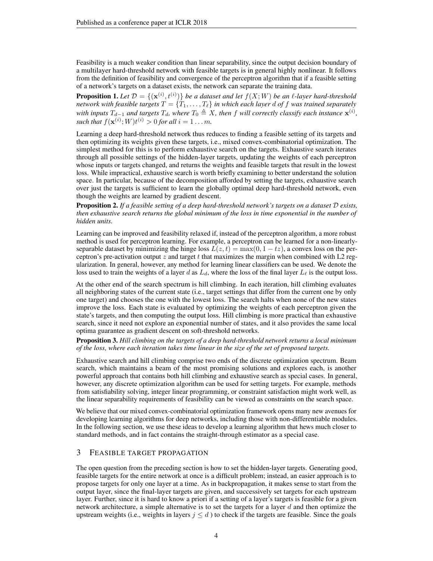Feasibility is a much weaker condition than linear separability, since the output decision boundary of a multilayer hard-threshold network with feasible targets is in general highly nonlinear. It follows from the definition of feasibility and convergence of the perceptron algorithm that if a feasible setting of a network's targets on a dataset exists, the network can separate the training data.

**Proposition 1.** Let  $\mathcal{D} = \{(\mathbf{x}^{(i)}, t^{(i)})\}$  be a dataset and let  $f(X;W)$  be an  $\ell$ -layer hard-threshold *network with feasible targets*  $T = \{T_1, \ldots, T_\ell\}$  *in which each layer d of* f *was trained separately with inputs*  $T_{d-1}$  and targets  $T_d$ , where  $T_0 \triangleq X$ , then f will correctly classify each instance  $\mathbf{x}^{(i)}$ , such that  $f(\mathbf{x}^{(i)}; W) t^{(i)} > 0$  for all  $i = 1 \dots m$ .

Learning a deep hard-threshold network thus reduces to finding a feasible setting of its targets and then optimizing its weights given these targets, i.e., mixed convex-combinatorial optimization. The simplest method for this is to perform exhaustive search on the targets. Exhaustive search iterates through all possible settings of the hidden-layer targets, updating the weights of each perceptron whose inputs or targets changed, and returns the weights and feasible targets that result in the lowest loss. While impractical, exhaustive search is worth briefly examining to better understand the solution space. In particular, because of the decomposition afforded by setting the targets, exhaustive search over just the targets is sufficient to learn the globally optimal deep hard-threshold network, even though the weights are learned by gradient descent.

Proposition 2. *If a feasible setting of a deep hard-threshold network's targets on a dataset* D *exists, then exhaustive search returns the global minimum of the loss in time exponential in the number of hidden units.*

Learning can be improved and feasibility relaxed if, instead of the perceptron algorithm, a more robust method is used for perceptron learning. For example, a perceptron can be learned for a non-linearlyseparable dataset by minimizing the hinge loss  $L(z, t) = \max(0, 1 - tz)$ , a convex loss on the perceptron's pre-activation output  $z$  and target  $t$  that maximizes the margin when combined with L2 regularization. In general, however, any method for learning linear classifiers can be used. We denote the loss used to train the weights of a layer d as  $L_d$ , where the loss of the final layer  $L_\ell$  is the output loss.

At the other end of the search spectrum is hill climbing. In each iteration, hill climbing evaluates all neighboring states of the current state (i.e., target settings that differ from the current one by only one target) and chooses the one with the lowest loss. The search halts when none of the new states improve the loss. Each state is evaluated by optimizing the weights of each perceptron given the state's targets, and then computing the output loss. Hill climbing is more practical than exhaustive search, since it need not explore an exponential number of states, and it also provides the same local optima guarantee as gradient descent on soft-threshold networks.

Proposition 3. *Hill climbing on the targets of a deep hard-threshold network returns a local minimum of the loss, where each iteration takes time linear in the size of the set of proposed targets.*

Exhaustive search and hill climbing comprise two ends of the discrete optimization spectrum. Beam search, which maintains a beam of the most promising solutions and explores each, is another powerful approach that contains both hill climbing and exhaustive search as special cases. In general, however, any discrete optimization algorithm can be used for setting targets. For example, methods from satisfiability solving, integer linear programming, or constraint satisfaction might work well, as the linear separability requirements of feasibility can be viewed as constraints on the search space.

We believe that our mixed convex-combinatorial optimization framework opens many new avenues for developing learning algorithms for deep networks, including those with non-differentiable modules. In the following section, we use these ideas to develop a learning algorithm that hews much closer to standard methods, and in fact contains the straight-through estimator as a special case.

# 3 FEASIBLE TARGET PROPAGATION

The open question from the preceding section is how to set the hidden-layer targets. Generating good, feasible targets for the entire network at once is a difficult problem; instead, an easier approach is to propose targets for only one layer at a time. As in backpropagation, it makes sense to start from the output layer, since the final-layer targets are given, and successively set targets for each upstream layer. Further, since it is hard to know a priori if a setting of a layer's targets is feasible for a given network architecture, a simple alternative is to set the targets for a layer  $d$  and then optimize the upstream weights (i.e., weights in layers  $j \leq d$ ) to check if the targets are feasible. Since the goals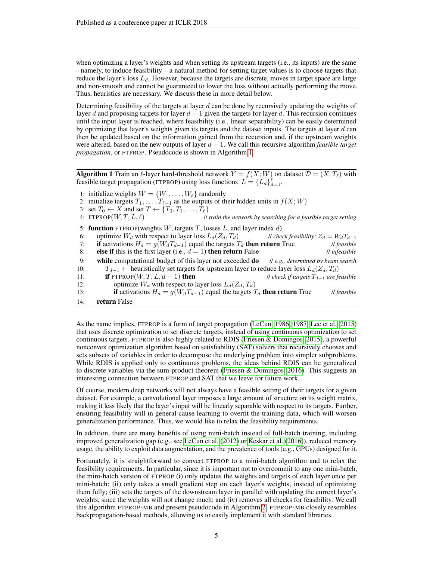when optimizing a layer's weights and when setting its upstream targets (i.e., its inputs) are the same – namely, to induce feasibility – a natural method for setting target values is to choose targets that reduce the layer's loss  $L_d$ . However, because the targets are discrete, moves in target space are large and non-smooth and cannot be guaranteed to lower the loss without actually performing the move. Thus, heuristics are necessary. We discuss these in more detail below.

Determining feasibility of the targets at layer  $d$  can be done by recursively updating the weights of layer d and proposing targets for layer  $d-1$  given the targets for layer d. This recursion continues until the input layer is reached, where feasibility (i.e., linear separability) can be easily determined by optimizing that layer's weights given its targets and the dataset inputs. The targets at layer  $d$  can then be updated based on the information gained from the recursion and, if the upstream weights were altered, based on the new outputs of layer d − 1. We call this recursive algorithm *feasible target propagation*, or FTPROP. Pseudocode is shown in Algorithm [1.](#page-4-0)

<span id="page-4-0"></span>Algorithm 1 Train an  $\ell$ -layer hard-threshold network  $Y = f(X;W)$  on dataset  $\mathcal{D} = (X,T_\ell)$  with feasible target propagation (FTPROP) using loss functions  $L = \{L_d\}_{d=1}^{\ell}$ .

1: initialize weights  $W = \{W_1, \ldots, W_\ell\}$  randomly

```
2: initialize targets T_1, \ldots, T_{\ell-1} as the outputs of their hidden units in f(X; W)
```
3: set  $T_0 \leftarrow X$  and set  $T \leftarrow \{T_0, T_1, \ldots, T_\ell\}$ <br>4: FTPROP $(W, T, L, \ell)$ 

Il train the network by searching for a feasible target setting

5: function FTPROP(weights  $W$ , targets  $T$ , losses  $L$ , and layer index  $d$ )

6: optimize  $W_d$  with respect to layer loss  $L_d(Z_d, T_d)$  // *check feasibility*;  $Z_d = W_d T_{d-1}$ <br>7: **if** activations  $H_d = q(W_d T_{d-1})$  equal the targets  $T_d$  **then return** True // *feasible* **if** activations  $H_d = g(W_d T_{d-1})$  equal the targets  $T_d$  then return True 8: **else if** this is the first layer (i.e.,  $d = 1$ ) **then return** False *// infeasible* 9: while computational budget of this layer not exceeded do // *e.g., determined by beam search* 10:  $T_{d-1}$  ← heuristically set targets for upstream layer to reduce layer loss  $L_d(Z_d, T_d)$ <br>11: **if** FTPROP(*W*, *T*, *L*, *d* − 1) **then** *If l* check if targets  $T_{d-1}$  are feasible 11: **if** FTPROP $(W, T, L, d - 1)$  **then** 12: optimize  $W_d$  with respect to layer loss  $L_d(Z_d, T_d)$ <br>13: **if** activations  $H_d = g(W_d T_{d-1})$  equal the targets 1 **if** activations  $H_d = g(W_d T_{d-1})$  equal the targets  $T_d$  **then return** True *// feasible* 14: return False

As the name implies, FTPROP is a form of target propagation [\(LeCun, 1986;](#page-9-3) [1987;](#page-9-4) [Lee et al., 2015\)](#page-9-7) that uses discrete optimization to set discrete targets, instead of using continuous optimization to set continuous targets. FTPROP is also highly related to RDIS [\(Friesen & Domingos, 2015\)](#page-9-8), a powerful nonconvex optimization algorithm based on satisfiability (SAT) solvers that recursively chooses and sets subsets of variables in order to decompose the underlying problem into simpler subproblems. While RDIS is applied only to continuous problems, the ideas behind RDIS can be generalized to discrete variables via the sum-product theorem [\(Friesen & Domingos, 2016\)](#page-9-9). This suggests an interesting connection between FTPROP and SAT that we leave for future work.

Of course, modern deep networks will not always have a feasible setting of their targets for a given dataset. For example, a convolutional layer imposes a large amount of structure on its weight matrix, making it less likely that the layer's input will be linearly separable with respect to its targets. Further, ensuring feasibility will in general cause learning to overfit the training data, which will worsen generalization performance. Thus, we would like to relax the feasibility requirements.

In addition, there are many benefits of using mini-batch instead of full-batch training, including improved generalization gap (e.g., see [LeCun et al.](#page-9-10) [\(2012\)](#page-9-10) or [Keskar et al.](#page-9-11) [\(2016\)](#page-9-11)), reduced memory usage, the ability to exploit data augmentation, and the prevalence of tools (e.g., GPUs) designed for it.

Fortunately, it is straightforward to convert FTPROP to a mini-batch algorithm and to relax the feasibility requirements. In particular, since it is important not to overcommit to any one mini-batch, the mini-batch version of FTPROP (i) only updates the weights and targets of each layer once per mini-batch; (ii) only takes a small gradient step on each layer's weights, instead of optimizing them fully; (iii) sets the targets of the downstream layer in parallel with updating the current layer's weights, since the weights will not change much; and (iv) removes all checks for feasibility. We call this algorithm FTPROP-MB and present pseudocode in Algorithm [2.](#page-5-0) FTPROP-MB closely resembles backpropagation-based methods, allowing us to easily implement it with standard libraries.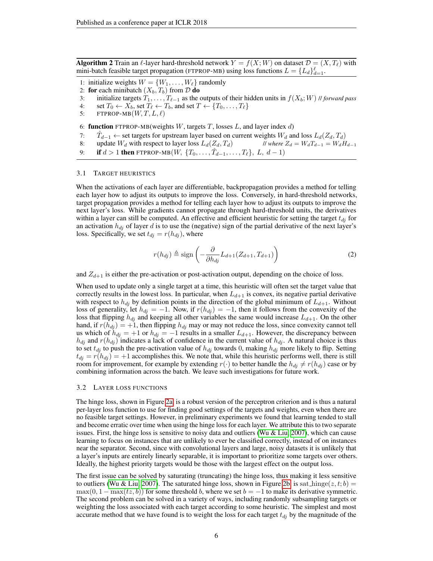<span id="page-5-0"></span>**Algorithm 2** Train an  $\ell$ -layer hard-threshold network  $Y = f(X;W)$  on dataset  $\mathcal{D} = (X,T_\ell)$  with mini-batch feasible target propagation (FTPROP-MB) using loss functions  $L = \{L_d\}_{d=1}^{\ell}$ .

- 1: initialize weights  $W = \{W_1, \ldots, W_\ell\}$  randomly
- 2: for each minibatch  $(X_b, T_b)$  from  $D$  do
- 3: initialize targets  $T_1, \ldots, T_{\ell-1}$  as the outputs of their hidden units in  $f(X_b; W)$  // *forward pass*
- 4: set  $T_0 \leftarrow X_b$ , set  $T_\ell \leftarrow T_b$ , and set  $T \leftarrow \{T_0, \ldots, T_\ell\}$
- 5: FTPROP-MB $(W, T, L, \ell)$

6: **function** FTPROP-MB(weights W, targets T, losses L, and layer index d)

- 7:  $\hat{T}_{d-1}$  ← set targets for upstream layer based on current weights  $W_d$  and loss  $L_d(Z_d, T_d)$
- 8: update  $W_d$  with respect to layer loss  $L_d(Z_d, T_d)$  // *where*  $Z_d = W_d T_{d-1} = W_d H_{d-1}$
- 9: **if**  $d > 1$  **then** FTPROP-MB $(W, \{T_0, \ldots, \hat{T}_{d-1}, \ldots, T_\ell\}, L, d-1)$

#### 3.1 TARGET HEURISTICS

When the activations of each layer are differentiable, backpropagation provides a method for telling each layer how to adjust its outputs to improve the loss. Conversely, in hard-threshold networks, target propagation provides a method for telling each layer how to adjust its outputs to improve the next layer's loss. While gradients cannot propagate through hard-threshold units, the derivatives within a layer can still be computed. An effective and efficient heuristic for setting the target  $t_{di}$  for an activation  $h_{dj}$  of layer d is to use the (negative) sign of the partial derivative of the next layer's loss. Specifically, we set  $t_{di} = r(h_{di})$ , where

<span id="page-5-1"></span>
$$
r(h_{dj}) \triangleq \text{sign}\left(-\frac{\partial}{\partial h_{dj}}L_{d+1}(Z_{d+1}, T_{d+1})\right) \tag{2}
$$

and  $Z_{d+1}$  is either the pre-activation or post-activation output, depending on the choice of loss.

When used to update only a single target at a time, this heuristic will often set the target value that correctly results in the lowest loss. In particular, when  $L_{d+1}$  is convex, its negative partial derivative with respect to  $h_{di}$  by definition points in the direction of the global minimum of  $L_{d+1}$ . Without loss of generality, let  $h_{dj} = -1$ . Now, if  $r(h_{dj}) = -1$ , then it follows from the convexity of the loss that flipping  $h_{dj}$  and keeping all other variables the same would increase  $L_{d+1}$ . On the other hand, if  $r(h_{dj}) = +1$ , then flipping  $h_{dj}$  may or may not reduce the loss, since convexity cannot tell us which of  $h_{dj} = +1$  or  $h_{dj} = -1$  results in a smaller  $L_{d+1}$ . However, the discrepancy between  $h_{dj}$  and  $r(h_{dj})$  indicates a lack of confidence in the current value of  $h_{dj}$ . A natural choice is thus to set  $t_{dj}$  to push the pre-activation value of  $h_{dj}$  towards 0, making  $h_{dj}$  more likely to flip. Setting  $t_{di} = r(h_{di}) = +1$  accomplishes this. We note that, while this heuristic performs well, there is still room for improvement, for example by extending  $r(\cdot)$  to better handle the  $h_{di} \neq r(h_{di})$  case or by combining information across the batch. We leave such investigations for future work.

#### 3.2 LAYER LOSS FUNCTIONS

The hinge loss, shown in Figure [2a,](#page-6-0) is a robust version of the perceptron criterion and is thus a natural per-layer loss function to use for finding good settings of the targets and weights, even when there are no feasible target settings. However, in preliminary experiments we found that learning tended to stall and become erratic over time when using the hinge loss for each layer. We attribute this to two separate issues. First, the hinge loss is sensitive to noisy data and outliers [\(Wu & Liu, 2007\)](#page-10-17), which can cause learning to focus on instances that are unlikely to ever be classified correctly, instead of on instances near the separator. Second, since with convolutional layers and large, noisy datasets it is unlikely that a layer's inputs are entirely linearly separable, it is important to prioritize some targets over others. Ideally, the highest priority targets would be those with the largest effect on the output loss.

The first issue can be solved by saturating (truncating) the hinge loss, thus making it less sensitive to outliers [\(Wu & Liu, 2007\)](#page-10-17). The saturated hinge loss, shown in Figure [2b,](#page-6-0) is sat hinge $(z, t; b)$  =  $\max(0, 1 - \max(tz, b))$  for some threshold b, where we set  $b = -1$  to make its derivative symmetric. The second problem can be solved in a variety of ways, including randomly subsampling targets or weighting the loss associated with each target according to some heuristic. The simplest and most accurate method that we have found is to weight the loss for each target  $t_{di}$  by the magnitude of the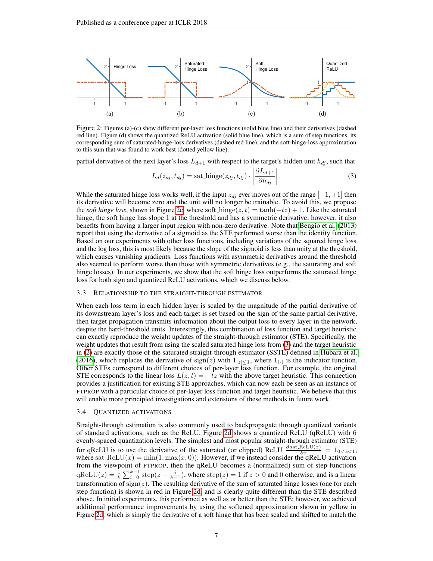<span id="page-6-0"></span>

Figure 2: Figures (a)-(c) show different per-layer loss functions (solid blue line) and their derivatives (dashed red line). Figure (d) shows the quantized ReLU activation (solid blue line), which is a sum of step functions, its corresponding sum of saturated-hinge-loss derivatives (dashed red line), and the soft-hinge-loss approximation to this sum that was found to work best (dotted yellow line).

partial derivative of the next layer's loss  $L_{d+1}$  with respect to the target's hidden unit  $h_{dj}$ , such that

<span id="page-6-1"></span>
$$
L_d(z_{dj}, t_{dj}) = \text{sat}.\text{hinge}(z_{dj}, t_{dj}) \cdot \left| \frac{\partial L_{d+1}}{\partial h_{dj}} \right|.
$$
 (3)

While the saturated hinge loss works well, if the input  $z_{dj}$  ever moves out of the range  $[-1, +1]$  then its derivative will become zero and the unit will no longer be trainable. To avoid this, we propose the *soft hinge loss*, shown in Figure [2c,](#page-6-0) where soft  $\text{Linge}(z, t) = \tanh(-tz) + 1$ . Like the saturated hinge, the soft hinge has slope 1 at the threshold and has a symmetric derivative; however, it also benefits from having a larger input region with non-zero derivative. Note that [Bengio et al.](#page-9-2) [\(2013\)](#page-9-2) report that using the derivative of a sigmoid as the STE performed worse than the identity function. Based on our experiments with other loss functions, including variations of the squared hinge loss and the log loss, this is most likely because the slope of the sigmoid is less than unity at the threshold, which causes vanishing gradients. Loss functions with asymmetric derivatives around the threshold also seemed to perform worse than those with symmetric derivatives (e.g., the saturating and soft hinge losses). In our experiments, we show that the soft hinge loss outperforms the saturated hinge loss for both sign and quantized ReLU activations, which we discuss below.

#### 3.3 RELATIONSHIP TO THE STRAIGHT-THROUGH ESTIMATOR

When each loss term in each hidden layer is scaled by the magnitude of the partial derivative of its downstream layer's loss and each target is set based on the sign of the same partial derivative, then target propagation transmits information about the output loss to every layer in the network, despite the hard-threshold units. Interestingly, this combination of loss function and target heuristic can exactly reproduce the weight updates of the straight-through estimator (STE). Specifically, the weight updates that result from using the scaled saturated hinge loss from [\(3\)](#page-6-1) and the target heuristic in [\(2\)](#page-5-1) are exactly those of the saturated straight-through estimator (SSTE) defined in [Hubara et al.](#page-9-0) [\(2016\)](#page-9-0), which replaces the derivative of  $sign(z)$  with  $1_{|z| \leq 1}$ , where  $1_{(\cdot)}$  is the indicator function. Other STEs correspond to different choices of per-layer loss function. For example, the original STE corresponds to the linear loss  $L(z, t) = -tz$  with the above target heuristic. This connection provides a justification for existing STE approaches, which can now each be seen as an instance of FTPROP with a particular choice of per-layer loss function and target heuristic. We believe that this will enable more principled investigations and extensions of these methods in future work.

### 3.4 QUANTIZED ACTIVATIONS

Straight-through estimation is also commonly used to backpropagate through quantized variants of standard activations, such as the ReLU. Figure [2d](#page-6-0) shows a quantized ReLU (qReLU) with 6 evenly-spaced quantization levels. The simplest and most popular straight-through estimator (STE) for qReLU is to use the derivative of the saturated (or clipped) ReLU  $\frac{\partial \text{sat}.\text{ReLU}(x)}{\partial x} = 1_{0 \le x \le 1}$ , where sat  $ReLU(x) = min(1, max(x, 0))$ . However, if we instead consider the qReLU activation from the viewpoint of FTPROP, then the qReLU becomes a (normalized) sum of step functions  $qReLU(z) = \frac{1}{k} \sum_{i=0}^{k-1} step(z - \frac{i}{k-1})$ , where  $step(z) = 1$  if  $z > 0$  and 0 otherwise, and is a linear transformation of  $sign(z)$ . The resulting derivative of the sum of saturated hinge losses (one for each step function) is shown in red in Figure [2d,](#page-6-0) and is clearly quite different than the STE described above. In initial experiments, this performed as well as or better than the STE; however, we achieved additional performance improvements by using the softened approximation shown in yellow in Figure [2d,](#page-6-0) which is simply the derivative of a soft hinge that has been scaled and shifted to match the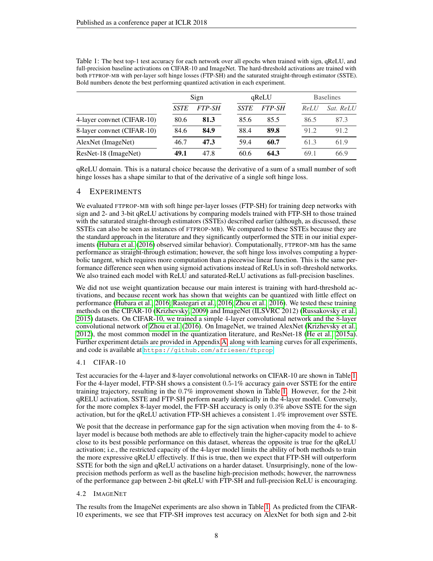|                            | Sign        |               | qReLU       |               | <b>Baselines</b> |           |
|----------------------------|-------------|---------------|-------------|---------------|------------------|-----------|
|                            | <b>SSTE</b> | <i>FTP-SH</i> | <b>SSTE</b> | <i>FTP-SH</i> | ReLU             | Sat. ReLU |
| 4-layer convnet (CIFAR-10) | 80.6        | 81.3          | 85.6        | 85.5          | 86.5             | 87.3      |
| 8-layer convnet (CIFAR-10) | 84.6        | 84.9          | 88.4        | 89.8          | 91.2             | 91.2      |
| AlexNet (ImageNet)         | 46.7        | 47.3          | 59.4        | 60.7          | 61.3             | 61.9      |
| ResNet-18 (ImageNet)       | 49.1        | 47.8          | 60.6        | 64.3          | 69.1             | 66.9      |

<span id="page-7-0"></span>Table 1: The best top-1 test accuracy for each network over all epochs when trained with sign, qReLU, and full-precision baseline activations on CIFAR-10 and ImageNet. The hard-threshold activations are trained with both FTPROP-MB with per-layer soft hinge losses (FTP-SH) and the saturated straight-through estimator (SSTE). Bold numbers denote the best performing quantized activation in each experiment.

qReLU domain. This is a natural choice because the derivative of a sum of a small number of soft hinge losses has a shape similar to that of the derivative of a single soft hinge loss.

# 4 EXPERIMENTS

We evaluated FTPROP-MB with soft hinge per-layer losses (FTP-SH) for training deep networks with sign and 2- and 3-bit qReLU activations by comparing models trained with FTP-SH to those trained with the saturated straight-through estimators (SSTEs) described earlier (although, as discussed, these SSTEs can also be seen as instances of FTPROP-MB). We compared to these SSTEs because they are the standard approach in the literature and they significantly outperformed the STE in our initial experiments [\(Hubara et al.](#page-9-0) [\(2016\)](#page-9-0) observed similar behavior). Computationally, FTPROP-MB has the same performance as straight-through estimation; however, the soft hinge loss involves computing a hyperbolic tangent, which requires more computation than a piecewise linear function. This is the same performance difference seen when using sigmoid activations instead of ReLUs in soft-threshold networks. We also trained each model with ReLU and saturated-ReLU activations as full-precision baselines.

We did not use weight quantization because our main interest is training with hard-threshold activations, and because recent work has shown that weights can be quantized with little effect on performance [\(Hubara et al., 2016;](#page-9-0) [Rastegari et al., 2016;](#page-10-2) [Zhou et al., 2016\)](#page-10-3). We tested these training methods on the CIFAR-10 [\(Krizhevsky, 2009\)](#page-9-12) and ImageNet (ILSVRC 2012) [\(Russakovsky et al.,](#page-10-18) [2015\)](#page-10-18) datasets. On CIFAR-10, we trained a simple 4-layer convolutional network and the 8-layer convolutional network of [Zhou et al.](#page-10-3) [\(2016\)](#page-10-3). On ImageNet, we trained AlexNet [\(Krizhevsky et al.,](#page-9-13) [2012\)](#page-9-13), the most common model in the quantization literature, and ResNet-18 [\(He et al., 2015a\)](#page-9-14). Further experiment details are provided in Appendix [A,](#page-11-0) along with learning curves for all experiments, and code is available at <https://github.com/afriesen/ftprop>.

# 4.1 CIFAR-10

Test accuracies for the 4-layer and 8-layer convolutional networks on CIFAR-10 are shown in Table [1.](#page-7-0) For the 4-layer model, FTP-SH shows a consistent 0.5-1% accuracy gain over SSTE for the entire training trajectory, resulting in the 0.7% improvement shown in Table [1.](#page-7-0) However, for the 2-bit qRELU activation, SSTE and FTP-SH perform nearly identically in the 4-layer model. Conversely, for the more complex 8-layer model, the FTP-SH accuracy is only 0.3% above SSTE for the sign activation, but for the qReLU activation FTP-SH achieves a consistent 1.4% improvement over SSTE.

We posit that the decrease in performance gap for the sign activation when moving from the 4- to 8layer model is because both methods are able to effectively train the higher-capacity model to achieve close to its best possible performance on this dataset, whereas the opposite is true for the qReLU activation; i.e., the restricted capacity of the 4-layer model limits the ability of both methods to train the more expressive qReLU effectively. If this is true, then we expect that FTP-SH will outperform SSTE for both the sign and qReLU activations on a harder dataset. Unsurprisingly, none of the lowprecision methods perform as well as the baseline high-precision methods; however, the narrowness of the performance gap between 2-bit qReLU with FTP-SH and full-precision ReLU is encouraging.

# 4.2 IMAGENET

The results from the ImageNet experiments are also shown in Table [1.](#page-7-0) As predicted from the CIFAR-10 experiments, we see that FTP-SH improves test accuracy on AlexNet for both sign and 2-bit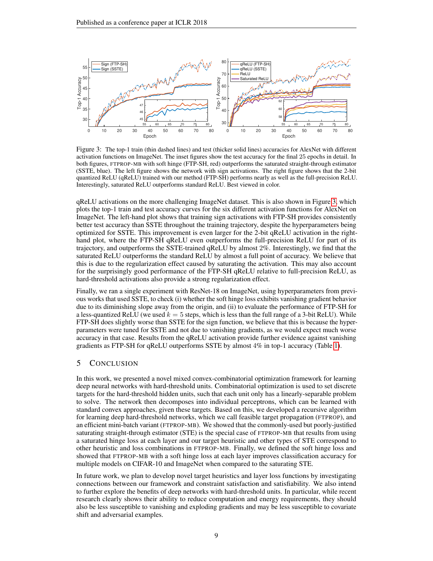<span id="page-8-0"></span>

Figure 3: The top-1 train (thin dashed lines) and test (thicker solid lines) accuracies for AlexNet with different activation functions on ImageNet. The inset figures show the test accuracy for the final 25 epochs in detail. In both figures, FTPROP-MB with soft hinge (FTP-SH, red) outperforms the saturated straight-through estimator (SSTE, blue). The left figure shows the network with sign activations. The right figure shows that the 2-bit quantized ReLU (qReLU) trained with our method (FTP-SH) performs nearly as well as the full-precision ReLU. Interestingly, saturated ReLU outperforms standard ReLU. Best viewed in color.

qReLU activations on the more challenging ImageNet dataset. This is also shown in Figure [3,](#page-8-0) which plots the top-1 train and test accuracy curves for the six different activation functions for AlexNet on ImageNet. The left-hand plot shows that training sign activations with FTP-SH provides consistently better test accuracy than SSTE throughout the training trajectory, despite the hyperparameters being optimized for SSTE. This improvement is even larger for the 2-bit qReLU activation in the righthand plot, where the FTP-SH qReLU even outperforms the full-precision ReLU for part of its trajectory, and outperforms the SSTE-trained qReLU by almost 2%. Interestingly, we find that the saturated ReLU outperforms the standard ReLU by almost a full point of accuracy. We believe that this is due to the regularization effect caused by saturating the activation. This may also account for the surprisingly good performance of the FTP-SH qReLU relative to full-precision ReLU, as hard-threshold activations also provide a strong regularization effect.

Finally, we ran a single experiment with ResNet-18 on ImageNet, using hyperparameters from previous works that used SSTE, to check (i) whether the soft hinge loss exhibits vanishing gradient behavior due to its diminishing slope away from the origin, and (ii) to evaluate the performance of FTP-SH for a less-quantized ReLU (we used  $k = 5$  steps, which is less than the full range of a 3-bit ReLU). While FTP-SH does slightly worse than SSTE for the sign function, we believe that this is because the hyperparameters were tuned for SSTE and not due to vanishing gradients, as we would expect much worse accuracy in that case. Results from the qReLU activation provide further evidence against vanishing gradients as FTP-SH for qReLU outperforms SSTE by almost 4% in top-1 accuracy (Table [1\)](#page-7-0).

# 5 CONCLUSION

In this work, we presented a novel mixed convex-combinatorial optimization framework for learning deep neural networks with hard-threshold units. Combinatorial optimization is used to set discrete targets for the hard-threshold hidden units, such that each unit only has a linearly-separable problem to solve. The network then decomposes into individual perceptrons, which can be learned with standard convex approaches, given these targets. Based on this, we developed a recursive algorithm for learning deep hard-threshold networks, which we call feasible target propagation (FTPROP), and an efficient mini-batch variant (FTPROP-MB). We showed that the commonly-used but poorly-justified saturating straight-through estimator (STE) is the special case of FTPROP-MB that results from using a saturated hinge loss at each layer and our target heuristic and other types of STE correspond to other heuristic and loss combinations in FTPROP-MB. Finally, we defined the soft hinge loss and showed that FTPROP-MB with a soft hinge loss at each layer improves classification accuracy for multiple models on CIFAR-10 and ImageNet when compared to the saturating STE.

In future work, we plan to develop novel target heuristics and layer loss functions by investigating connections between our framework and constraint satisfaction and satisfiability. We also intend to further explore the benefits of deep networks with hard-threshold units. In particular, while recent research clearly shows their ability to reduce computation and energy requirements, they should also be less susceptible to vanishing and exploding gradients and may be less susceptible to covariate shift and adversarial examples.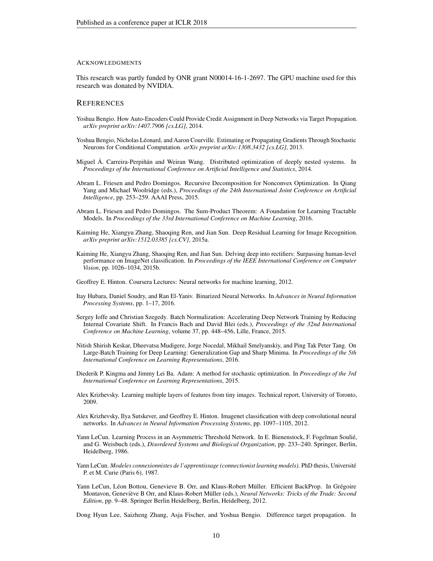#### ACKNOWLEDGMENTS

This research was partly funded by ONR grant N00014-16-1-2697. The GPU machine used for this research was donated by NVIDIA.

### **REFERENCES**

- <span id="page-9-6"></span>Yoshua Bengio. How Auto-Encoders Could Provide Credit Assignment in Deep Networks via Target Propagation. *arXiv preprint arXiv:1407.7906 [cs.LG]*, 2014.
- <span id="page-9-2"></span>Yoshua Bengio, Nicholas Léonard, and Aaron Courville. Estimating or Propagating Gradients Through Stochastic Neurons for Conditional Computation. *arXiv preprint arXiv:1308.3432 [cs.LG]*, 2013.
- <span id="page-9-5"></span>Miguel Á. Carreira-Perpiñán and Weiran Wang. Distributed optimization of deeply nested systems. In *Proceedings of the International Conference on Artificial Intelligence and Statistics*, 2014.
- <span id="page-9-8"></span>Abram L. Friesen and Pedro Domingos. Recursive Decomposition for Nonconvex Optimization. In Qiang Yang and Michael Woolridge (eds.), *Proceedings of the 24th International Joint Conference on Artificial Intelligence*, pp. 253–259. AAAI Press, 2015.
- <span id="page-9-9"></span>Abram L. Friesen and Pedro Domingos. The Sum-Product Theorem: A Foundation for Learning Tractable Models. In *Proceedings of the 33rd International Conference on Machine Learning*, 2016.
- <span id="page-9-14"></span>Kaiming He, Xiangyu Zhang, Shaoqing Ren, and Jian Sun. Deep Residual Learning for Image Recognition. *arXiv preprint arXiv:1512.03385 [cs.CV]*, 2015a.
- <span id="page-9-17"></span>Kaiming He, Xiangyu Zhang, Shaoqing Ren, and Jian Sun. Delving deep into rectifiers: Surpassing human-level performance on ImageNet classification. In *Proceedings of the IEEE International Conference on Computer Vision*, pp. 1026–1034, 2015b.
- <span id="page-9-1"></span>Geoffrey E. Hinton. Coursera Lectures: Neural networks for machine learning, 2012.
- <span id="page-9-0"></span>Itay Hubara, Daniel Soudry, and Ran El-Yaniv. Binarized Neural Networks. In *Advances in Neural Information Processing Systems*, pp. 1–17, 2016.
- <span id="page-9-16"></span>Sergey Ioffe and Christian Szegedy. Batch Normalization: Accelerating Deep Network Training by Reducing Internal Covariate Shift. In Francis Bach and David Blei (eds.), *Proceedings of the 32nd International Conference on Machine Learning*, volume 37, pp. 448–456, Lille, France, 2015.
- <span id="page-9-11"></span>Nitish Shirish Keskar, Dheevatsa Mudigere, Jorge Nocedal, Mikhail Smelyanskiy, and Ping Tak Peter Tang. On Large-Batch Training for Deep Learning: Generalization Gap and Sharp Minima. In *Proceedings of the 5th International Conference on Learning Representations*, 2016.
- <span id="page-9-15"></span>Diederik P. Kingma and Jimmy Lei Ba. Adam: A method for stochastic optimization. In *Proceedings of the 3rd International Conference on Learning Representations*, 2015.
- <span id="page-9-12"></span>Alex Krizhevsky. Learning multiple layers of features from tiny images. Technical report, University of Toronto, 2009.
- <span id="page-9-13"></span>Alex Krizhevsky, Ilya Sutskever, and Geoffrey E. Hinton. Imagenet classification with deep convolutional neural networks. In *Advances in Neural Information Processing Systems*, pp. 1097–1105, 2012.
- <span id="page-9-3"></span>Yann LeCun. Learning Process in an Asymmetric Threshold Network. In E. Bienenstock, F. Fogelman Soulie,´ and G. Weisbuch (eds.), *Disordered Systems and Biological Organization*, pp. 233–240. Springer, Berlin, Heidelberg, 1986.
- <span id="page-9-4"></span>Yann LeCun. *Modeles connexionnistes de l'apprentissage (connectionist learning models)*. PhD thesis, Universite´ P. et M. Curie (Paris 6), 1987.
- <span id="page-9-10"></span>Yann LeCun, Léon Bottou, Genevieve B. Orr, and Klaus-Robert Müller. Efficient BackProp. In Grégoire Montavon, Geneviève B Orr, and Klaus-Robert Müller (eds.), *Neural Networks: Tricks of the Trade: Second Edition*, pp. 9–48. Springer Berlin Heidelberg, Berlin, Heidelberg, 2012.

<span id="page-9-7"></span>Dong Hyun Lee, Saizheng Zhang, Asja Fischer, and Yoshua Bengio. Difference target propagation. In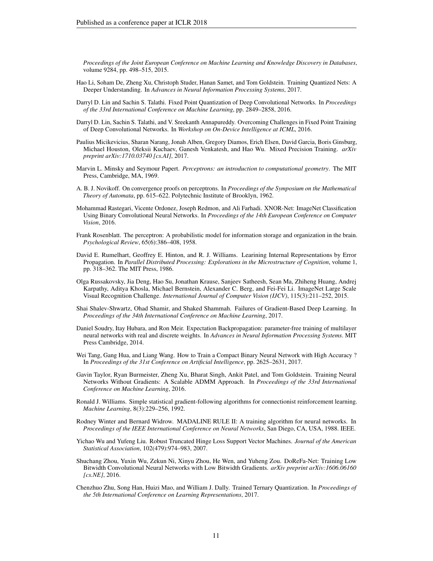*Proceedings of the Joint European Conference on Machine Learning and Knowledge Discovery in Databases*, volume 9284, pp. 498–515, 2015.

- <span id="page-10-7"></span>Hao Li, Soham De, Zheng Xu, Christoph Studer, Hanan Samet, and Tom Goldstein. Training Quantized Nets: A Deeper Understanding. In *Advances in Neural Information Processing Systems*, 2017.
- <span id="page-10-4"></span>Darryl D. Lin and Sachin S. Talathi. Fixed Point Quantization of Deep Convolutional Networks. In *Proceedings of the 33rd International Conference on Machine Learning*, pp. 2849–2858, 2016.
- <span id="page-10-6"></span>Darryl D. Lin, Sachin S. Talathi, and V. Sreekanth Annapureddy. Overcoming Challenges in Fixed Point Training of Deep Convolutional Networks. In *Workshop on On-Device Intelligence at ICML*, 2016.
- <span id="page-10-9"></span>Paulius Micikevicius, Sharan Narang, Jonah Alben, Gregory Diamos, Erich Elsen, David Garcia, Boris Ginsburg, Michael Houston, Oleksii Kuchaev, Ganesh Venkatesh, and Hao Wu. Mixed Precision Training. *arXiv preprint arXiv:1710.03740 [cs.AI]*, 2017.
- <span id="page-10-16"></span>Marvin L. Minsky and Seymour Papert. *Perceptrons: an introduction to computational geometry*. The MIT Press, Cambridge, MA, 1969.
- <span id="page-10-15"></span>A. B. J. Novikoff. On convergence proofs on perceptrons. In *Proceedings of the Symposium on the Mathematical Theory of Automata*, pp. 615–622. Polytechnic Institute of Brooklyn, 1962.
- <span id="page-10-2"></span>Mohammad Rastegari, Vicente Ordonez, Joseph Redmon, and Ali Farhadi. XNOR-Net: ImageNet Classification Using Binary Convolutional Neural Networks. In *Proceedings of the 14th European Conference on Computer Vision*, 2016.
- <span id="page-10-0"></span>Frank Rosenblatt. The perceptron: A probabilistic model for information storage and organization in the brain. *Psychological Review*, 65(6):386–408, 1958.
- <span id="page-10-1"></span>David E. Rumelhart, Geoffrey E. Hinton, and R. J. Williams. Learining Internal Representations by Error Propagation. In *Parallel Distributed Processing: Explorations in the Microstructure of Cognition*, volume 1, pp. 318–362. The MIT Press, 1986.
- <span id="page-10-18"></span>Olga Russakovsky, Jia Deng, Hao Su, Jonathan Krause, Sanjeev Satheesh, Sean Ma, Zhiheng Huang, Andrej Karpathy, Aditya Khosla, Michael Bernstein, Alexander C. Berg, and Fei-Fei Li. ImageNet Large Scale Visual Recognition Challenge. *International Journal of Computer Vision (IJCV)*, 115(3):211–252, 2015.
- <span id="page-10-10"></span>Shai Shalev-Shwartz, Ohad Shamir, and Shaked Shammah. Failures of Gradient-Based Deep Learning. In *Proceedings of the 34th International Conference on Machine Learning*, 2017.
- <span id="page-10-11"></span>Daniel Soudry, Itay Hubara, and Ron Meir. Expectation Backpropagation: parameter-free training of multilayer neural networks with real and discrete weights. In *Advances in Neural Information Processing Systems*. MIT Press Cambridge, 2014.
- <span id="page-10-8"></span>Wei Tang, Gang Hua, and Liang Wang. How to Train a Compact Binary Neural Network with High Accuracy ? In *Proceedings of the 31st Conference on Artificial Intelligence*, pp. 2625–2631, 2017.
- <span id="page-10-13"></span>Gavin Taylor, Ryan Burmeister, Zheng Xu, Bharat Singh, Ankit Patel, and Tom Goldstein. Training Neural Networks Without Gradients: A Scalable ADMM Approach. In *Proceedings of the 33rd International Conference on Machine Learning*, 2016.
- <span id="page-10-12"></span>Ronald J. Williams. Simple statistical gradient-following algorithms for connectionist reinforcement learning. *Machine Learning*, 8(3):229–256, 1992.
- <span id="page-10-14"></span>Rodney Winter and Bernard Widrow. MADALINE RULE II: A training algorithm for neural networks. In *Proceedings of the IEEE International Conference on Neural Networks*, San Diego, CA, USA, 1988. IEEE.
- <span id="page-10-17"></span>Yichao Wu and Yufeng Liu. Robust Truncated Hinge Loss Support Vector Machines. *Journal of the American Statistical Association*, 102(479):974–983, 2007.
- <span id="page-10-3"></span>Shuchang Zhou, Yuxin Wu, Zekun Ni, Xinyu Zhou, He Wen, and Yuheng Zou. DoReFa-Net: Training Low Bitwidth Convolutional Neural Networks with Low Bitwidth Gradients. *arXiv preprint arXiv:1606.06160 [cs.NE]*, 2016.
- <span id="page-10-5"></span>Chenzhuo Zhu, Song Han, Huizi Mao, and William J. Dally. Trained Ternary Quantization. In *Proceedings of the 5th International Conference on Learning Representations*, 2017.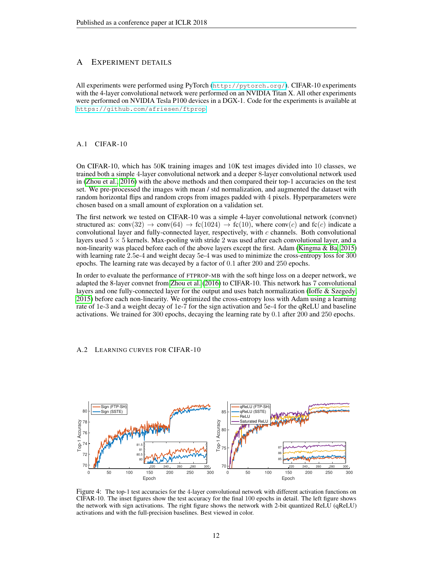# <span id="page-11-0"></span>A EXPERIMENT DETAILS

All experiments were performed using PyTorch (<http://pytorch.org/>). CIFAR-10 experiments with the 4-layer convolutional network were performed on an NVIDIA Titan X. All other experiments were performed on NVIDIA Tesla P100 devices in a DGX-1. Code for the experiments is available at <https://github.com/afriesen/ftprop>.

## A.1 CIFAR-10

On CIFAR-10, which has 50K training images and 10K test images divided into 10 classes, we trained both a simple 4-layer convolutional network and a deeper 8-layer convolutional network used in [\(Zhou et al., 2016\)](#page-10-3) with the above methods and then compared their top-1 accuracies on the test set. We pre-processed the images with mean / std normalization, and augmented the dataset with random horizontal flips and random crops from images padded with 4 pixels. Hyperparameters were chosen based on a small amount of exploration on a validation set.

The first network we tested on CIFAR-10 was a simple 4-layer convolutional network (convnet) structured as: conv $(32) \rightarrow \text{conv}(64) \rightarrow \text{fc}(1024) \rightarrow \text{fc}(10)$ , where conv $(c)$  and  $\text{fc}(c)$  indicate a convolutional layer and fully-connected layer, respectively, with  $c$  channels. Both convolutional layers used  $5 \times 5$  kernels. Max-pooling with stride 2 was used after each convolutional layer, and a non-linearity was placed before each of the above layers except the first. Adam [\(Kingma & Ba, 2015\)](#page-9-15) with learning rate 2.5e-4 and weight decay 5e-4 was used to minimize the cross-entropy loss for 300 epochs. The learning rate was decayed by a factor of 0.1 after 200 and 250 epochs.

In order to evaluate the performance of FTPROP-MB with the soft hinge loss on a deeper network, we adapted the 8-layer convnet from [Zhou et al.](#page-10-3) [\(2016\)](#page-10-3) to CIFAR-10. This network has 7 convolutional layers and one fully-connected layer for the output and uses batch normalization [\(Ioffe & Szegedy,](#page-9-16) [2015\)](#page-9-16) before each non-linearity. We optimized the cross-entropy loss with Adam using a learning rate of 1e-3 and a weight decay of 1e-7 for the sign activation and 5e-4 for the qReLU and baseline activations. We trained for 300 epochs, decaying the learning rate by 0.1 after 200 and 250 epochs.

# A.2 LEARNING CURVES FOR CIFAR-10



Figure 4: The top-1 test accuracies for the 4-layer convolutional network with different activation functions on CIFAR-10. The inset figures show the test accuracy for the final 100 epochs in detail. The left figure shows the network with sign activations. The right figure shows the network with 2-bit quantized ReLU (qReLU) activations and with the full-precision baselines. Best viewed in color.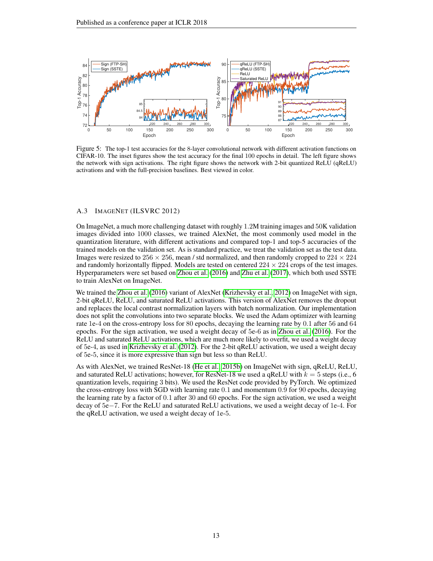

Figure 5: The top-1 test accuracies for the 8-layer convolutional network with different activation functions on CIFAR-10. The inset figures show the test accuracy for the final 100 epochs in detail. The left figure shows the network with sign activations. The right figure shows the network with 2-bit quantized ReLU (qReLU) activations and with the full-precision baselines. Best viewed in color.

### A.3 IMAGENET (ILSVRC 2012)

On ImageNet, a much more challenging dataset with roughly 1.2M training images and 50K validation images divided into 1000 classes, we trained AlexNet, the most commonly used model in the quantization literature, with different activations and compared top-1 and top-5 accuracies of the trained models on the validation set. As is standard practice, we treat the validation set as the test data. Images were resized to  $256 \times 256$ , mean / std normalized, and then randomly cropped to  $224 \times 224$ and randomly horizontally flipped. Models are tested on centered  $224 \times 224$  crops of the test images. Hyperparameters were set based on [Zhou et al.](#page-10-3) [\(2016\)](#page-10-3) and [Zhu et al.](#page-10-5) [\(2017\)](#page-10-5), which both used SSTE to train AlexNet on ImageNet.

We trained the [Zhou et al.](#page-10-3) [\(2016\)](#page-10-3) variant of AlexNet [\(Krizhevsky et al., 2012\)](#page-9-13) on ImageNet with sign, 2-bit qReLU, ReLU, and saturated ReLU activations. This version of AlexNet removes the dropout and replaces the local contrast normalization layers with batch normalization. Our implementation does not split the convolutions into two separate blocks. We used the Adam optimizer with learning rate 1e-4 on the cross-entropy loss for 80 epochs, decaying the learning rate by 0.1 after 56 and 64 epochs. For the sign activation, we used a weight decay of 5e-6 as in [Zhou et al.](#page-10-3) [\(2016\)](#page-10-3). For the ReLU and saturated ReLU activations, which are much more likely to overfit, we used a weight decay of 5e-4, as used in [Krizhevsky et al.](#page-9-13) [\(2012\)](#page-9-13). For the 2-bit qReLU activation, we used a weight decay of 5e-5, since it is more expressive than sign but less so than ReLU.

As with AlexNet, we trained ResNet-18 [\(He et al., 2015b\)](#page-9-17) on ImageNet with sign, qReLU, ReLU, and saturated ReLU activations; however, for ResNet-18 we used a qReLU with  $k = 5$  steps (i.e., 6) quantization levels, requiring 3 bits). We used the ResNet code provided by PyTorch. We optimized the cross-entropy loss with SGD with learning rate 0.1 and momentum 0.9 for 90 epochs, decaying the learning rate by a factor of 0.1 after 30 and 60 epochs. For the sign activation, we used a weight decay of 5e−7. For the ReLU and saturated ReLU activations, we used a weight decay of 1e-4. For the qReLU activation, we used a weight decay of 1e-5.